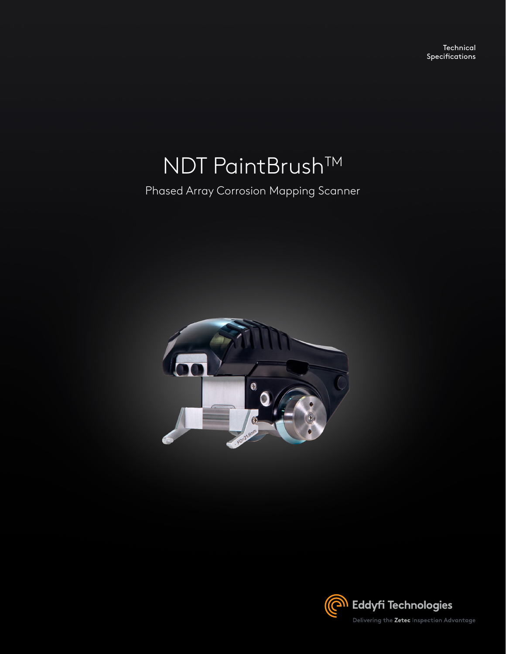**Technical** Specifications

# NDT PaintBrush™

Phased Array Corrosion Mapping Scanner



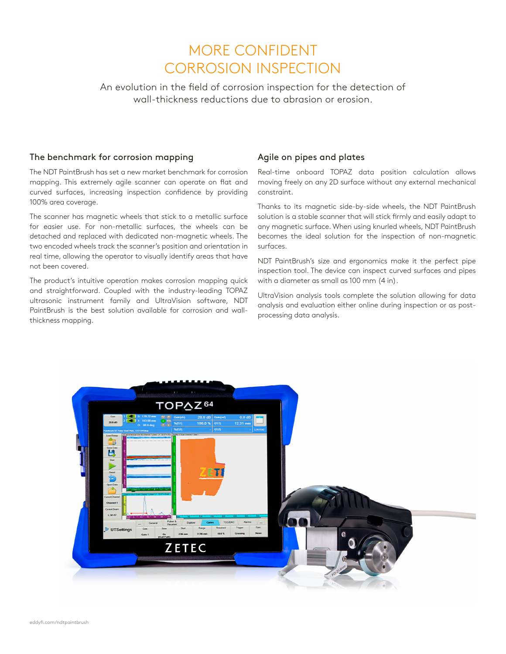# MORE CONFIDENT CORROSION INSPECTION

An evolution in the field of corrosion inspection for the detection of wall-thickness reductions due to abrasion or erosion.

#### The benchmark for corrosion mapping

The NDT PaintBrush has set a new market benchmark for corrosion mapping. This extremely agile scanner can operate on flat and curved surfaces, increasing inspection confidence by providing 100% area coverage.

The scanner has magnetic wheels that stick to a metallic surface for easier use. For non-metallic surfaces, the wheels can be detached and replaced with dedicated non-magnetic wheels. The two encoded wheels track the scanner's position and orientation in real time, allowing the operator to visually identify areas that have not been covered.

The product's intuitive operation makes corrosion mapping quick and straightforward. Coupled with the industry-leading TOPAZ ultrasonic instrument family and UltraVision software, NDT PaintBrush is the best solution available for corrosion and wallthickness mapping.

## Agile on pipes and plates

Real-time onboard TOPAZ data position calculation allows moving freely on any 2D surface without any external mechanical constraint.

Thanks to its magnetic side-by-side wheels, the NDT PaintBrush solution is a stable scanner that will stick firmly and easily adapt to any magnetic surface. When using knurled wheels, NDT PaintBrush becomes the ideal solution for the inspection of non-magnetic surfaces.

NDT PaintBrush's size and ergonomics make it the perfect pipe inspection tool. The device can inspect curved surfaces and pipes with a diameter as small as 100 mm (4 in).

UltraVision analysis tools complete the solution allowing for data analysis and evaluation either online during inspection or as postprocessing data analysis.